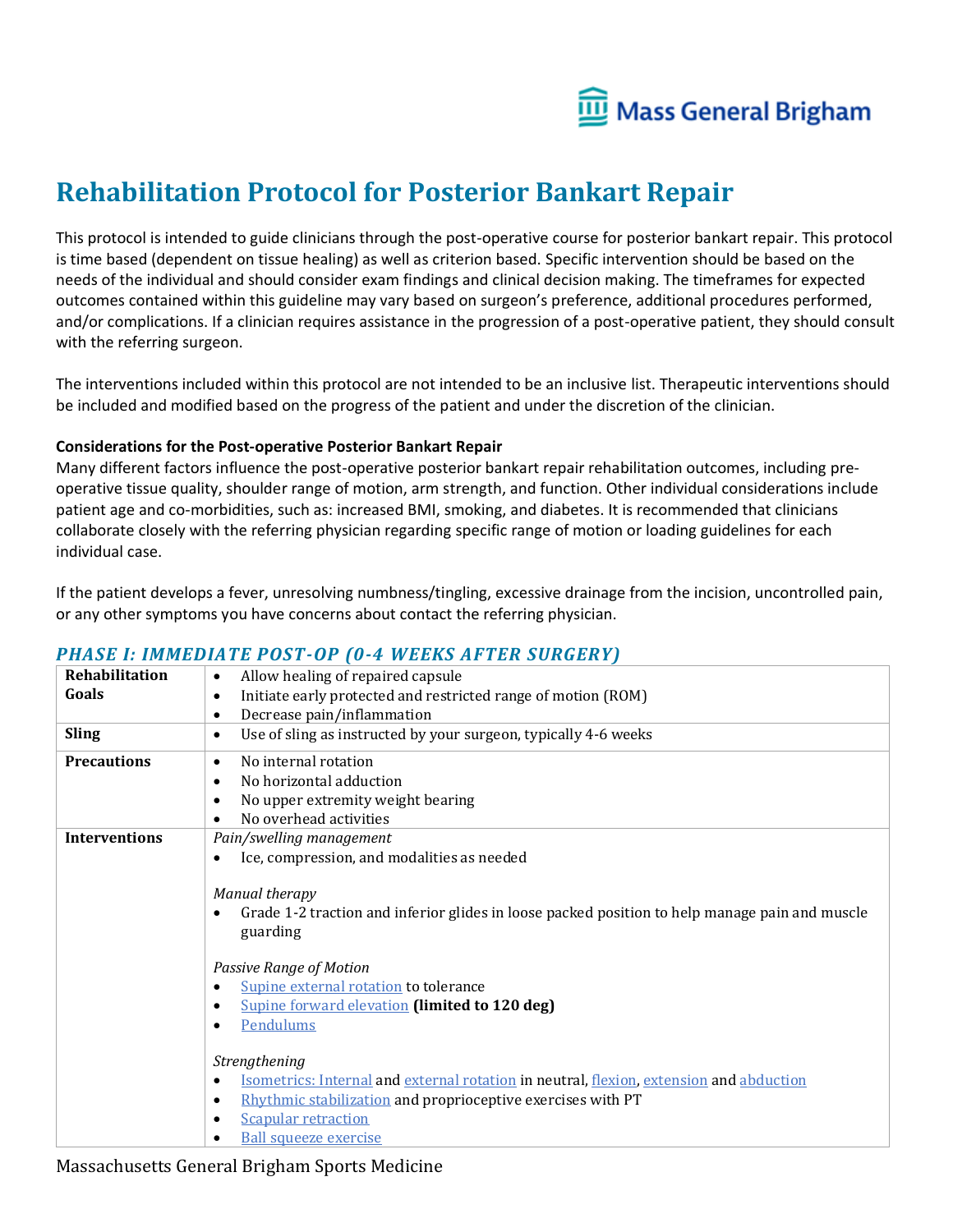

# **Rehabilitation Protocol for Posterior Bankart Repair**

This protocol is intended to guide clinicians through the post-operative course for posterior bankart repair. This protocol is time based (dependent on tissue healing) as well as criterion based. Specific intervention should be based on the needs of the individual and should consider exam findings and clinical decision making. The timeframes for expected outcomes contained within this guideline may vary based on surgeon's preference, additional procedures performed, and/or complications. If a clinician requires assistance in the progression of a post-operative patient, they should consult with the referring surgeon.

The interventions included within this protocol are not intended to be an inclusive list. Therapeutic interventions should be included and modified based on the progress of the patient and under the discretion of the clinician.

#### **Considerations for the Post-operative Posterior Bankart Repair**

Many different factors influence the post-operative posterior bankart repair rehabilitation outcomes, including preoperative tissue quality, shoulder range of motion, arm strength, and function. Other individual considerations include patient age and co-morbidities, such as: increased BMI, smoking, and diabetes. It is recommended that clinicians collaborate closely with the referring physician regarding specific range of motion or loading guidelines for each individual case.

If the patient develops a fever, unresolving numbness/tingling, excessive drainage from the incision, uncontrolled pain, or any other symptoms you have concerns about contact the referring physician.

| Rehabilitation       | Allow healing of repaired capsule<br>$\bullet$                                                              |
|----------------------|-------------------------------------------------------------------------------------------------------------|
| Goals                | Initiate early protected and restricted range of motion (ROM)<br>$\bullet$                                  |
|                      | Decrease pain/inflammation<br>$\bullet$                                                                     |
| <b>Sling</b>         | Use of sling as instructed by your surgeon, typically 4-6 weeks<br>$\bullet$                                |
| <b>Precautions</b>   | No internal rotation<br>$\bullet$                                                                           |
|                      | No horizontal adduction<br>$\bullet$                                                                        |
|                      | No upper extremity weight bearing<br>$\bullet$                                                              |
|                      | No overhead activities<br>$\bullet$                                                                         |
| <b>Interventions</b> | Pain/swelling management                                                                                    |
|                      | Ice, compression, and modalities as needed<br>$\bullet$                                                     |
|                      |                                                                                                             |
|                      | Manual therapy                                                                                              |
|                      | Grade 1-2 traction and inferior glides in loose packed position to help manage pain and muscle<br>$\bullet$ |
|                      | guarding                                                                                                    |
|                      |                                                                                                             |
|                      | Passive Range of Motion                                                                                     |
|                      | Supine external rotation to tolerance<br>$\bullet$                                                          |
|                      | <b>Supine forward elevation (limited to 120 deg)</b><br>$\bullet$                                           |
|                      | Pendulums                                                                                                   |
|                      |                                                                                                             |
|                      | Strengthening                                                                                               |
|                      | Isometrics: Internal and external rotation in neutral, flexion, extension and abduction<br>$\bullet$        |
|                      | Rhythmic stabilization and proprioceptive exercises with PT<br>$\bullet$                                    |
|                      | <b>Scapular retraction</b><br>$\bullet$                                                                     |
|                      | <b>Ball squeeze exercise</b><br>$\bullet$                                                                   |

### *PHASE I: IMMEDIATE POST-OP (0-4 WEEKS AFTER SURGERY)*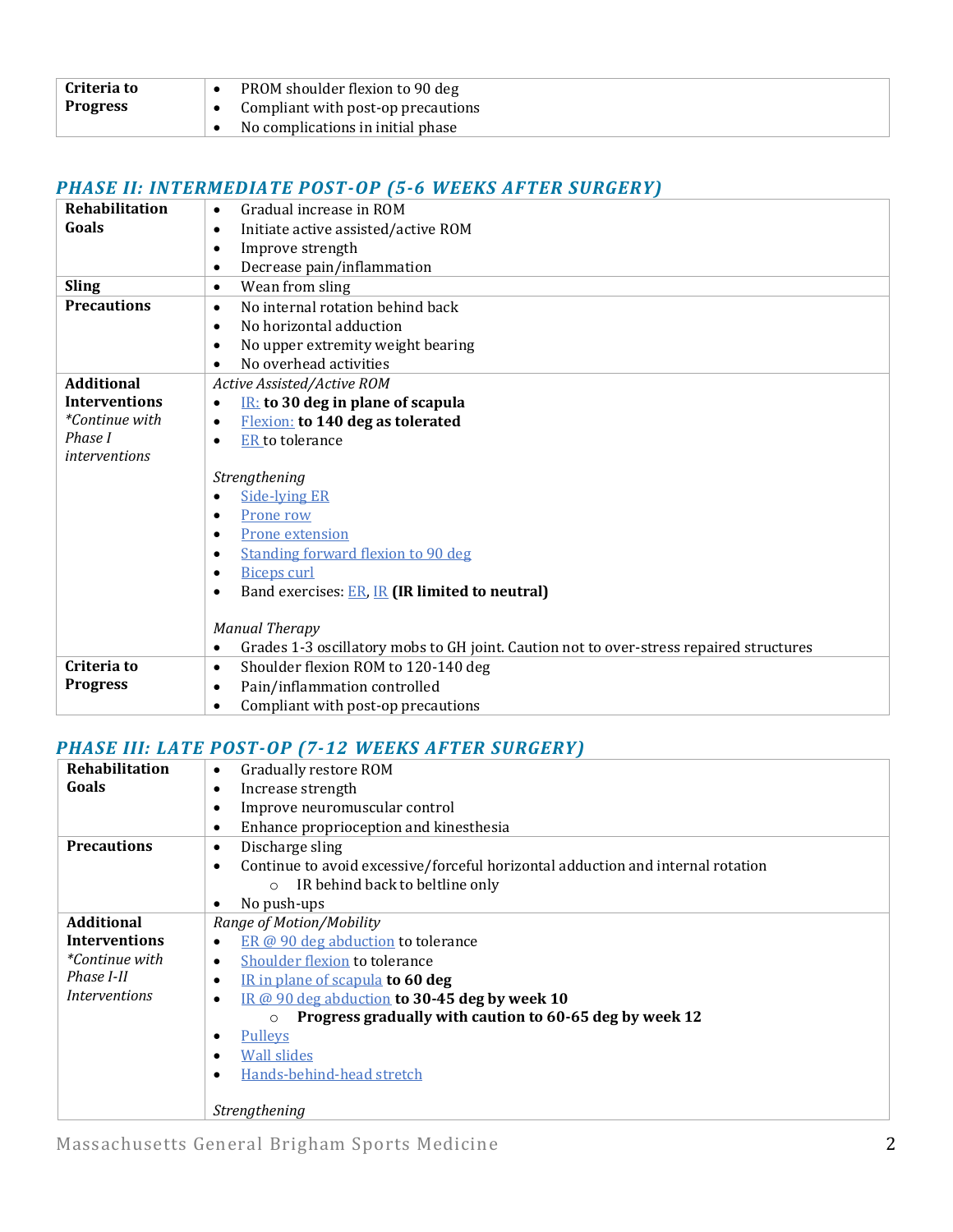| <b>Criteria to</b> | PROM shoulder flexion to 90 deg    |
|--------------------|------------------------------------|
| Progress           | Compliant with post-op precautions |
|                    | No complications in initial phase  |

## *PHASE II: INTERMEDIATE POST-OP (5-6 WEEKS AFTER SURGERY)*

| Rehabilitation        | Gradual increase in ROM<br>$\bullet$                                                                 |
|-----------------------|------------------------------------------------------------------------------------------------------|
| Goals                 | Initiate active assisted/active ROM<br>$\bullet$                                                     |
|                       | Improve strength<br>$\bullet$                                                                        |
|                       | Decrease pain/inflammation<br>$\bullet$                                                              |
| <b>Sling</b>          | Wean from sling<br>$\bullet$                                                                         |
| <b>Precautions</b>    | No internal rotation behind back<br>$\bullet$                                                        |
|                       | No horizontal adduction<br>$\bullet$                                                                 |
|                       | No upper extremity weight bearing<br>$\bullet$                                                       |
|                       | No overhead activities<br>$\bullet$                                                                  |
| <b>Additional</b>     | Active Assisted/Active ROM                                                                           |
| <b>Interventions</b>  | $IR:$ to 30 deg in plane of scapula<br>$\bullet$                                                     |
| <i>*Continue with</i> | <b>Flexion:</b> to 140 deg as tolerated<br>$\bullet$                                                 |
| Phase I               | ER to tolerance<br>$\bullet$                                                                         |
| interventions         |                                                                                                      |
|                       | Strengthening                                                                                        |
|                       | <b>Side-Iving ER</b><br>$\bullet$                                                                    |
|                       | Prone row<br>٠                                                                                       |
|                       | Prone extension<br>٠                                                                                 |
|                       | Standing forward flexion to 90 deg<br>$\bullet$                                                      |
|                       | <b>Biceps curl</b><br>٠                                                                              |
|                       | Band exercises: ER, IR (IR limited to neutral)<br>$\bullet$                                          |
|                       |                                                                                                      |
|                       | <b>Manual Therapy</b>                                                                                |
|                       | Grades 1-3 oscillatory mobs to GH joint. Caution not to over-stress repaired structures<br>$\bullet$ |
| Criteria to           | Shoulder flexion ROM to 120-140 deg<br>$\bullet$                                                     |
| <b>Progress</b>       | Pain/inflammation controlled<br>$\bullet$                                                            |
|                       | Compliant with post-op precautions<br>$\bullet$                                                      |

# *PHASE III: LATE POST-OP (7-12 WEEKS AFTER SURGERY)*

| Rehabilitation        | Gradually restore ROM<br>$\bullet$                                                           |
|-----------------------|----------------------------------------------------------------------------------------------|
| Goals                 | Increase strength<br>$\bullet$                                                               |
|                       | Improve neuromuscular control<br>$\bullet$                                                   |
|                       | Enhance proprioception and kinesthesia<br>$\bullet$                                          |
| <b>Precautions</b>    | Discharge sling<br>$\bullet$                                                                 |
|                       | Continue to avoid excessive/forceful horizontal adduction and internal rotation<br>$\bullet$ |
|                       | IR behind back to beltline only<br>$\circ$                                                   |
|                       | No push-ups<br>$\bullet$                                                                     |
| <b>Additional</b>     | Range of Motion/Mobility                                                                     |
| <b>Interventions</b>  | ER @ 90 deg abduction to tolerance<br>$\bullet$                                              |
| <i>*Continue with</i> | <b>Shoulder flexion to tolerance</b><br>$\bullet$                                            |
| Phase I-II            | IR in plane of scapula to 60 deg<br>$\bullet$                                                |
| <i>Interventions</i>  | IR @ 90 deg abduction to 30-45 deg by week 10<br>$\bullet$                                   |
|                       | Progress gradually with caution to 60-65 deg by week 12<br>$\circ$                           |
|                       | <b>Pulleys</b><br>$\bullet$                                                                  |
|                       | Wall slides<br>$\bullet$                                                                     |
|                       | Hands-behind-head stretch<br>$\bullet$                                                       |
|                       |                                                                                              |
|                       | Strengthening                                                                                |

Massachusetts General Brigham Sports Medicine 2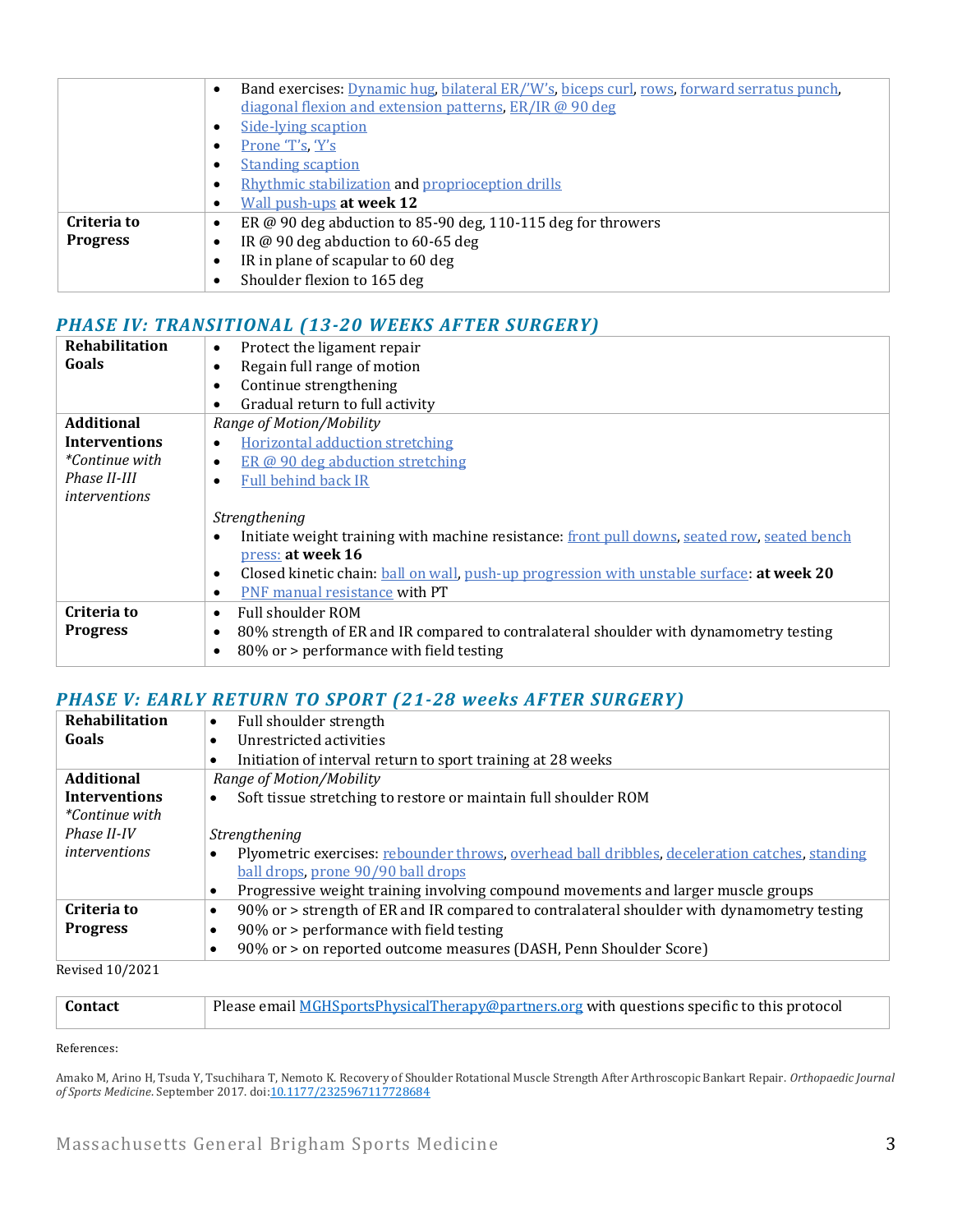|                 | Band exercises: Dynamic hug, bilateral ER/'W's, biceps curl, rows, forward serratus punch,<br>$\bullet$ |
|-----------------|---------------------------------------------------------------------------------------------------------|
|                 | diagonal flexion and extension patterns, ER/IR @ 90 deg                                                 |
|                 | Side-lying scaption<br>$\bullet$                                                                        |
|                 | Prone 'T's, Y's<br>$\bullet$                                                                            |
|                 | <b>Standing scaption</b><br>$\bullet$                                                                   |
|                 | Rhythmic stabilization and proprioception drills<br>$\bullet$                                           |
|                 | Wall push-ups at week 12<br>$\bullet$                                                                   |
| Criteria to     | ER $@$ 90 deg abduction to 85-90 deg, 110-115 deg for throwers<br>$\bullet$                             |
| <b>Progress</b> | IR @ 90 deg abduction to 60-65 deg<br>$\bullet$                                                         |
|                 | IR in plane of scapular to 60 deg<br>$\bullet$                                                          |
|                 | Shoulder flexion to 165 deg                                                                             |

# *PHASE IV: TRANSITIONAL (13-20 WEEKS AFTER SURGERY)*

| Rehabilitation        | Protect the ligament repair<br>$\bullet$                                                                  |
|-----------------------|-----------------------------------------------------------------------------------------------------------|
| Goals                 | Regain full range of motion<br>٠                                                                          |
|                       | Continue strengthening<br>$\bullet$                                                                       |
|                       | Gradual return to full activity<br>$\bullet$                                                              |
| <b>Additional</b>     | Range of Motion/Mobility                                                                                  |
| <b>Interventions</b>  | <b>Horizontal adduction stretching</b><br>$\bullet$                                                       |
| <i>*Continue with</i> | ER @ 90 deg abduction stretching<br>$\bullet$                                                             |
| Phase II-III          | <b>Full behind back IR</b><br>$\bullet$                                                                   |
| <i>interventions</i>  |                                                                                                           |
|                       | Strengthening                                                                                             |
|                       | Initiate weight training with machine resistance: front pull downs, seated row, seated bench<br>$\bullet$ |
|                       | press: at week 16                                                                                         |
|                       | Closed kinetic chain: ball on wall, push-up progression with unstable surface: at week 20<br>$\bullet$    |
|                       | <b>PNF</b> manual resistance with PT<br>$\bullet$                                                         |
| Criteria to           | <b>Full shoulder ROM</b><br>$\bullet$                                                                     |
| <b>Progress</b>       | 80% strength of ER and IR compared to contralateral shoulder with dynamometry testing<br>$\bullet$        |
|                       | 80% or > performance with field testing<br>$\bullet$                                                      |
|                       |                                                                                                           |

## *PHASE V: EARLY RETURN TO SPORT (21-28 weeks AFTER SURGERY)*

| Rehabilitation         | Full shoulder strength<br>$\bullet$                                                                     |
|------------------------|---------------------------------------------------------------------------------------------------------|
| Goals                  | Unrestricted activities<br>$\bullet$                                                                    |
|                        | Initiation of interval return to sport training at 28 weeks<br>٠                                        |
| <b>Additional</b>      | Range of Motion/Mobility                                                                                |
| <b>Interventions</b>   | Soft tissue stretching to restore or maintain full shoulder ROM                                         |
| <i>*Continue with</i>  |                                                                                                         |
| Phase II-IV            | Strengthening                                                                                           |
| interventions          | Plyometric exercises: rebounder throws, overhead ball dribbles, deceleration catches, standing          |
|                        | ball drops, prone 90/90 ball drops                                                                      |
|                        | Progressive weight training involving compound movements and larger muscle groups<br>$\bullet$          |
| Criteria to            | 90% or > strength of ER and IR compared to contralateral shoulder with dynamometry testing<br>$\bullet$ |
| <b>Progress</b>        | 90% or > performance with field testing<br>٠                                                            |
|                        | 90% or > on reported outcome measures (DASH, Penn Shoulder Score)<br>$\bullet$                          |
| <b>Dovised 10/2021</b> |                                                                                                         |

Revised 10/2021

| <b>Contact</b> | Please email MGHSportsPhysicalTherapy@partners.org with questions specific to this protocol |
|----------------|---------------------------------------------------------------------------------------------|
|----------------|---------------------------------------------------------------------------------------------|

#### References:

Amako M, Arino H, Tsuda Y, Tsuchihara T, Nemoto K. Recovery of Shoulder Rotational Muscle Strength After Arthroscopic Bankart Repair. *Orthopaedic Journal*  of Sports Medicine. September 2017. doi: 10.1177/2325967117728684